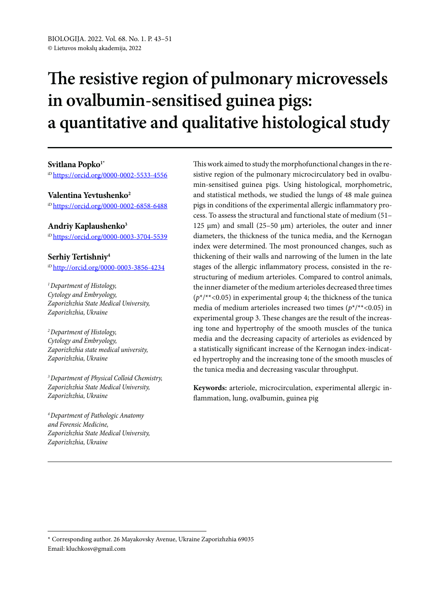# **The resistive region of pulmonary microvessels in ovalbumin-sensitised guinea pigs: a quantitative and qualitative histological study**

#### **Svitlana Popko1\***

iD<https://orcid.org/0000-0002-5533-4556>

#### **Valentina Yevtushenko2**

iD<https://orcid.org/0000-0002-6858-6488>

## **Andriy Kaplaushenko3**

iD<https://orcid.org/0000-0003-3704-5539>

## **Serhiy Tertishniy4**

iD<http://orcid.org/0000-0003-3856-4234>

*1 Department of Histology, Cytology and Embryology, Zaporizhzhia State Medical University, Zaporizhzhia, Ukraine*

*2 Department of Histology, Cytology and Embryology, Zaporizhzhia state medical university, Zaporizhzhia, Ukraine*

*3 Department of Physical Colloid Chemistry, Zaporizhzhia State Medical University, Zaporizhzhia, Ukraine*

*4 Department of Pathologic Anatomy and Forensic Medicine, Zaporizhzhia State Medical University, Zaporizhzhia, Ukraine*

This work aimed to study the morphofunctional changes in the resistive region of the pulmonary microcirculatory bed in ovalbumin-sensitised guinea pigs. Using histological, morphometric, and statistical methods, we studied the lungs of 48 male guinea pigs in conditions of the experimental allergic inflammatory process. To assess the structural and functional state of medium (51– 125  $\mu$ m) and small (25–50  $\mu$ m) arterioles, the outer and inner diameters, the thickness of the tunica media, and the Kernogan index were determined. The most pronounced changes, such as thickening of their walls and narrowing of the lumen in the late stages of the allergic inflammatory process, consisted in the restructuring of medium arterioles. Compared to control animals, the inner diameter of the medium arterioles decreased three times  $(p^*/*<0.05)$  in experimental group 4; the thickness of the tunica media of medium arterioles increased two times (*p*\*/\*\*<0.05) in experimental group 3. These changes are the result of the increasing tone and hypertrophy of the smooth muscles of the tunica media and the decreasing capacity of arterioles as evidenced by a statistically significant increase of the Kernogan index-indicated hypertrophy and the increasing tone of the smooth muscles of the tunica media and decreasing vascular throughput.

**Keywords:** arteriole, microcirculation, experimental allergic inflammation, lung, ovalbumin, guinea pig

<sup>\*</sup> Corresponding author. 26 Mayakovsky Avenue, Ukraine Zaporizhzhia 69035 Email: kluchkosv@gmail.com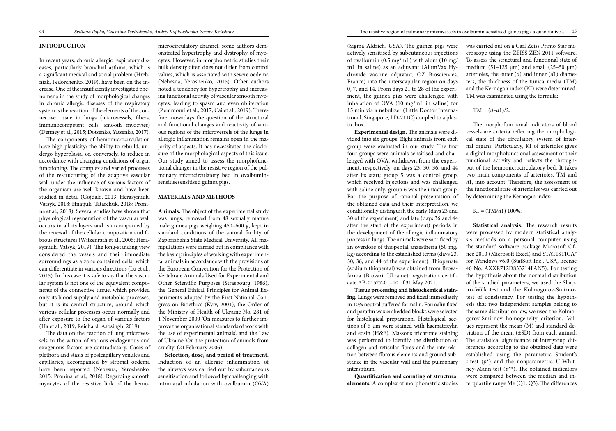## **INTRODUCTION**

In recent years, chronic allergic respiratory diseases, particularly bronchial asthma, which is a significant medical and social problem (Hrebniak, Fedorchenko, 2019), have been on the increase. One of the insufficiently investigated phenomena in the study of morphological changes in chronic allergic diseases of the respiratory system is the reaction of the elements of the connective tissue in lungs (microvessels, fibers, immunocompetent cells, smooth myocytes) (Denney et al., 2015; Dotsenko, Yatsenko, 2017).

The components of hemomicrocirculation have high plasticity: the ability to rebuild, undergo hyperplasia, or, conversely, to reduce in accordance with changing conditions of organ functioning. The complex and varied processes of the restructuring of the adaptive vascular wall under the influence of various factors of the organism are well known and have been studied in detail (Gojdalo, 2013; Herasymiuk, Vatsyk, 2018; Hnatjuk, Tatarchuk, 2018; Pronina et al., 2018). Several studies have shown that physiological regeneration of the vascular wall occurs in all its layers and is accompanied by the renewal of the cellular composition and fibrous structures (Witzenrath et al., 2006; Herasymiuk, Vatsyk, 2019). The long-standing view considered the vessels and their immediate surroundings as a zone contained cells, which can differentiate in various directions (Lu et al., 2015). In this case it is safe to say that the vascular system is not one of the equivalent components of the connective tissue, which provided only its blood supply and metabolic processes, but it is its central structure, around which various cellular processes occur normally and after exposure to the organ of various factors (Ha et al., 2019; Reichard, Asosingh, 2019).

The data on the reaction of lung microvessels to the action of various endogenous and exogenous factors are contradictory. Cases of plethora and stasis of postcapillary venules and capillaries, accompanied by stromal oedema have been reported (Nebesna, Yeroshenko, 2015; Pronina et al., 2018). Regarding smooth myocytes of the resistive link of the hemo-

microcirculatory channel, some authors demonstrated hypertrophy and dystrophy of myocytes. However, in morphometric studies their bulk density often does not differ from control values, which is associated with severe oedema (Nebesna, Yeroshenko, 2015). Other authors noted a tendency for hypertrophy and increasing functional activity of vascular smooth myocytes, leading to spasm and even obliteration (Zemmouri et al., 2017; Cai et al., 2019). Therefore, nowadays the question of the structural and functional changes and reactivity of various regions of the microvessels of the lungs in allergic inflammation remains open in the majority of aspects. It has necessitated the disclosure of the morphological aspects of this issue. Our study aimed to assess the morphofunctional changes in the resistive region of the pulmonary microcirculatory bed in ovalbuminsensitisesensitised guinea pigs.

## **MATERIALS AND METHODS**

**Animals.** The object of the experimental study was lungs, removed from 48 sexually mature male guinea pigs weighing 450–600 g, kept in standard conditions of the animal facility of Zaporizhzhia State Medical University. All manipulations were carried out in compliance with the basic principles of working with experimental animals in accordance with the provisions of the European Convention for the Protection of Vertebrate Animals Used for Experimental and Other Scientific Purposes (Strasbourg, 1986), the General Ethical Principles for Animal Experiments adopted by the First National Congress on Bioethics (Kyiv, 2001), the Order of the Ministry of Health of Ukraine No. 281 of 1 November 2000 'On measures to further improve the organisational standards of work with the use of experimental animals', and the Law of Ukraine 'On the protection of animals from cruelty' (21 February 2006).

**Selection, dose, and period of treatment.**  Induction of an allergic inflammation of the airways was carried out by subcutaneous sensitisation and followed by challenging with intranasal inhalation with ovalbumin (OVA)

(Sigma Aldrich, USA). The guinea pigs were actively sensitised by subcutaneous injections of ovalbumin (0.5 mg/mL) with alum (10 mg/ mL in saline) as an adjuvant (AlumVax Hydroxide vaccine adjuvant, OZ Biosciences, France) into the interscapular region on days 0, 7, and 14. From days 21 to 28 of the experiment, the guinea pigs were challenged with inhalation of OVA (10 mg/mL in saline) for 15 min via a nebulizer (Little Doctor International, Singapore, LD-211C) coupled to a plastic box.

**Experimental design.** The animals were divided into six groups. Eight animals from each group were evaluated in our study. The first four groups were animals sensitised and challenged with OVA, withdrawn from the experiment, respectively, on days 23, 30, 36, and 44 after its start; group 5 was a control group, which received injections and was challenged with saline only; group 6 was the intact group. For the purpose of rational presentation of the obtained data and their interpretation, we conditionally distinguish the early (days 23 and 30 of the experiment) and late (days 36 and 44 after the start of the experiment) periods in the development of the allergic inflammatory process in lungs. The animals were sacrificed by an overdose of thiopental anaesthesia (50 mg/ kg) according to the established terms (days 23, 30, 36, and 44 of the experiment). Thiopenate (sodium thiopental) was obtained from Brovafarma (Brovari, Ukraine), registration certificate АВ-01527-01–10 of 31 May 2021.

**Tissue processing and histochemical staining.** Lungs were removed and fixed immediately in 10% neutral buffered formalin. Formalin fixed and paraffin wax embedded blocks were selected for histological preparation. Histological sections of 5 μm were stained with haematoxylin and eosin (H&E). Masson's trichrome staining was performed to identify the distribution of collagen and reticular fibres and the interrelation between fibrous elements and ground substance in the vascular wall and the pulmonary interstitium.

**Quantification and counting of structural elements.** A complex of morphometric studies was carried out on a Carl Zeiss Primo Star microscope using the ZEISS ZEN 2011 software. To assess the structural and functional state of medium (51–125  $\mu$ m) and small (25–50  $\mu$ m) arterioles, the outer (*d*) and inner (*d*1) diameters, the thickness of the tunica media (TM) and the Kernogan index (KI) were determined. TM was examinated using the formula:

 $TM = (d-d1)/2.$ 

The morphofunctional indicators of blood vessels are criteria reflecting the morphological state of the circulatory system of internal organs. Particularly, KI of arterioles gives a digital morphofunctional assessment of their functional activity and reflects the throughput of the hemomicrocirculatory bed. It takes two main components of arterioles, TM and *d*1, into account. Therefore, the assessment of the functional state of arterioles was carried out by determining the Kernogan index:

 $KI = (TM/d1) 100\%$ .

**Statistical analysis.** The research results were processed by modern statistical analysis methods on a personal computer using the standard software package Microsoft Office 2010 (Microsoft Excel) and STATISTICA® for Windows v6.0 (StatSoft Inc., USA, license 46 No. AXXR712D833214FAN5). For testing the hypothesis about the normal distribution of the studied parameters, we used the Shapiro-Wilk test and the Kolmogorov-Smirnov test of consistency. For testing the hypothesis that two independent samples belong to the same distribution law, we used the Kolmogorov-Smirnov homogeneity criterion. Values represent the mean (M) and standard deviation of the mean (±SD) from each animal. The statistical significance of intergroup differences according to the obtained data were established using the parametric Student's *t*-test  $(p^*)$  and the nonparametric U-Whitney-Mann test  $(p^{**})$ . The obtained indicators were compared between the median and interquartile range Me (Q1; Q3). The differences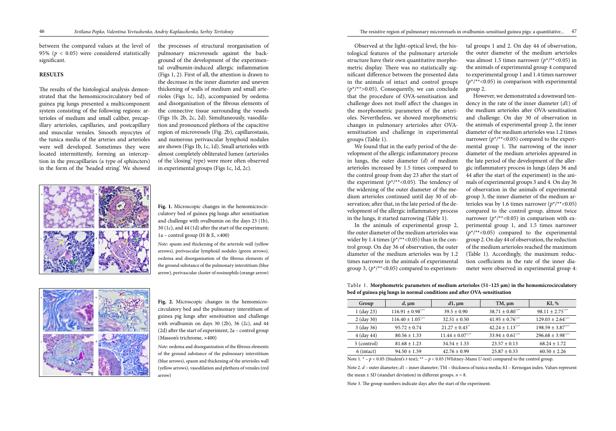between the compared values at the level of 95% ( $p < 0.05$ ) were considered statistically significant.

#### **RESULTS**

The results of the histological analysis demonstrated that the hemomicrocirculatory bed of guinea pig lungs presented a multicomponent system consisting of the following regions: arterioles of medium and small caliber, precapillary arterioles, capillaries, and postcapillary and muscular venules. Smooth myocytes of the tunica media of the arteries and arterioles were well developed. Sometimes they were located intermittently, forming an interception in the precapillaries (a type of sphincters) in the form of the 'beaded string'. We showed

the processes of structural reorganisation of pulmonary microvessels against the background of the development of the experimental ovalbumin-induced allergic inflammation (Figs 1, 2). First of all, the attention is drawn to the decrease in the inner diameter and uneven thickening of walls of medium and small arterioles (Figs 1c, 1d), accompanied by oedema and disorganisation of the fibrous elements of the connective tissue surrounding the vessels (Figs 1b, 2b, 2c, 2d). Simultaneously, vasodilation and pronounced plethora of the capacitive region of microvessels (Fig. 2b), capillarostasis, and numerous perivascular lymphoid nodules are shown (Figs 1b, 1c, 1d). Small arterioles with almost completely obliterated lumen (arterioles of the 'closing' type) were more often observed in experimental groups (Figs 1c, 1d, 2c).



In the animals of experimental group 2, the outer diameter of the medium arterioles was wider by 1.4 times  $(p^*/**<0.05)$  than in the control group. On day 36 of observation, the outer diameter of the medium arterioles was by 1.2 times narrower in the animals of experimental group 3,  $(p^*/*<0.05)$  compared to experimen-

Observed at the light-optical level, the histological features of the pulmonary arteriole structure have their own quantitative morphometric display. There was no statistically significant difference between the presented data in the animals of intact and control groups  $(p^*$ /\*\*>0.05). Consequently, we can conclude that the procedure of OVA-sensitisation and challenge does not itself affect the changes in the morphometric parameters of the arterioles. Nevertheless, we showed morphometric changes in pulmonary arterioles after OVAsensitisation and challenge in experimental groups (Table 1).

**Fig. 1.** Microscopic changes in the hemomicrocirculatory bed of guinea pig lungs after sensitisation and challenge with ovalbumin on the days 23 (1b), 30 (1c), and 44 (1d) after the start of the experiment; 1a – control group (H & E,  $\times$ 400)

We found that in the early period of the development of the allergic inflammatory process in lungs, the outer diameter (*d*) of medium arterioles increased by 1.5 times compared to the control group from day 23 after the start of the experiment  $(p^*/*<0.05)$ . The tendency of the widening of the outer diameter of the medium arterioles continued until day 30 of observation; after that, in the late period of the development of the allergic inflammatory process in the lungs, it started narrowing (Table 1).

tal groups 1 and 2. On day 44 of observation, the outer diameter of the medium arterioles was almost 1.5 times narrower  $(p^*/*<0.05)$  in the animals of experimental group 4 compared to experimental group 1 and 1.4 times narrower (*p*\*/\*\*<0.05) in comparison with experimental group 2.

However, we demonstrated a downward tendency in the rate of the inner diameter (*d*1) of the medium arterioles after OVA-sensitisation and challenge. On day 30 of observation in the animals of experimental group 2, the inner diameter of the medium arterioles was 1.2 times narrower ( $p^*/*<0.05$ ) compared to the experimental group 1. The narrowing of the inner diameter of the medium arterioles appeared in the late period of the development of the allergic inflammatory process in lungs (days 36 and 44 after the start of the experiment) in the animals of experimental groups 3 and 4. On day 36 of observation in the animals of experimental group 3, the inner diameter of the medium arterioles was by 1.6 times narrower  $(p^*/^{**}<0.05)$ compared to the control group, almost twice narrower ( $p^*$ /\*\*<0.05) in comparison with experimental group 1, and 1.5 times narrower  $(p^*$ /\*\*<0.05) compared to the experimental group 2. On day 44 of observation, the reduction of the medium arterioles reached the maximum (Table 1). Accordingly, the maximum reduction coefficients in the rate of the inner diameter were observed in experimental group 4:

*Note*: spasm and thickening of the arteriole wall (yellow arrows), perivascular lymphoid nodules (green arrows), oedema and disorganisation of the fibrous elements of the ground substance of the pulmonary interstitium (blue arrow), perivascular cluster of eosinophils (orange arrow)



**Fig. 2.** Microscopic changes in the hemomicrocirculatory bed and the pulmonary interstitium of guinea pig lungs after sensitisation and challenge with ovalbumin on days 30 (2b), 36 (2c), and 44 (2d) after the start of experiment; 2a – control group (Masson's trichrome, ×400)

*Note*: oedema and disorganization of the fibrous elements of the ground substance of the pulmonary interstitium (blue arrows), spasm and thickening of the arterioles wall (yellow arrows), vasodilation and plethora of venules (red arrow)

Table 1. **Morphometric parameters of medium arterioles (51–125 μm) in the hemomicrocirculatory bed of guinea pig lungs in normal conditions and after OVA-sensitisation**

| Group                                                                                                           | $d, \mu$ m                        | $d1$ , $\mu$ m                   | $TM, \mu m$                      | KI, %                             |  |  |
|-----------------------------------------------------------------------------------------------------------------|-----------------------------------|----------------------------------|----------------------------------|-----------------------------------|--|--|
| $1$ (day 23)                                                                                                    | $116.91 \pm 0.98$ */**            | $39.5 \pm 0.90$                  | $38.71 \pm 0.80^{\frac{4}{10}}$  | $98.11 \pm 2.75^{\ast}$           |  |  |
| $2$ (day 30)                                                                                                    | $116.40 \pm 1.05$ <sup>*/**</sup> | $32.51 \pm 0.50$                 | $41.95 \pm 0.76$ <sup>*/**</sup> | $129.03 \pm 2.64$ */**            |  |  |
| $3$ (day 36)                                                                                                    | $95.72 \pm 0.74$                  | $21.27 \pm 0.43$ <sup>**</sup>   | $42.24 \pm 1.13^{\frac{4}{11}}$  | $198.59 \pm 3.87$ */**            |  |  |
| $4$ (day 44)                                                                                                    | $80.56 \pm 1.33$                  | $11.44 \pm 0.07$ <sup>*/**</sup> | $33.94 \pm 0.61^{\frac{4}{10}}$  | $296.68 \pm 3.98$ <sup>*/**</sup> |  |  |
| 5 (control)                                                                                                     | $81.68 \pm 1.23$                  | $34.54 \pm 1.33$                 | $23.57 \pm 0.13$                 | $68.24 \pm 1.72$                  |  |  |
| $6$ (intact)                                                                                                    | $94.50 \pm 1.59$                  | $42.76 \pm 0.99$                 | $25.87 \pm 0.33$                 | $60.50 \pm 2.26$                  |  |  |
| Note 1. $* - p < 0.05$ (Student's t-test); $** - p < 0.05$ (Whitney-Mann U-test) compared to the control group. |                                   |                                  |                                  |                                   |  |  |

Note 2. *d* – outer diameter; *d*1 – inner diameter; ТМ – thickness of tunica media; КI – Kernogan index. Values represent the mean  $\pm$  SD (standart deviation) in different groups.  $n = 8$ . Note 3. The group numbers indicate days after the start of the experiment.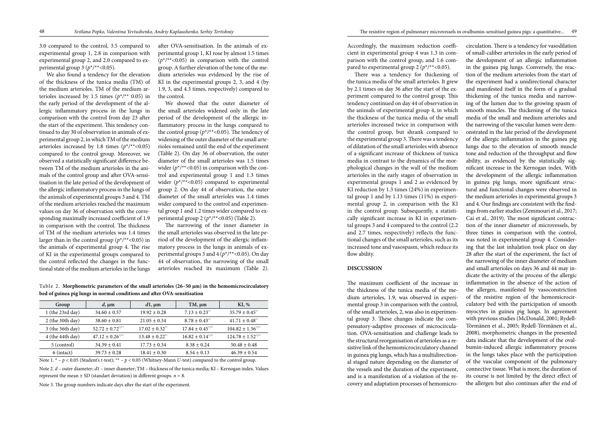3.0 compared to the control, 3.5 compared to experimental group 1, 2.8 in comparison with experimental group 2, and 2.0 compared to experimental group 3 ( $p^*/*$  <0.05).

We also found a tendency for the elevation of the thickness of the tunica media (TM) of the medium arterioles. TM of the medium arterioles increased by 1.5 times  $(p^*/*)$  0.05) in the early period of the development of the allergic inflammatory process in the lungs in comparison with the control from day 23 after the start of the experiment. This tendency continued to day 30 of observation in animals of experimental group 2, in which TM of the medium arterioles increased by 1.8 times  $(p^*/^{**}<0.05)$ compared to the control group. Moreover, we observed a statistically significant difference between TM of the medium arterioles in the animals of the control group and after OVA-sensitisation in the late period of the development of the allergic inflammatory process in the lungs of the animals of experimental groups 3 and 4. TM of the medium arterioles reached the maximum values on day 36 of observation with the corresponding maximally increased coefficient of 1.9 in comparison with the control. The thickness of TM of the medium arterioles was 1.4 times larger than in the control group  $(p^*/**<0.05)$  in the animals of experimental group 4. The rise of KI in the experimental groups compared to the control reflected the changes in the functional state of the medium arterioles in the lungs

Accordingly, the maximum reduction coefficient in experimental group 4 was 1.3 in comparison with the control group, and 1.6 compared to experimental group 2 ( $p^*/*<0.05$ ).

after OVA-sensitisation. In the animals of experimental group 1, KI rose by almost 1.5 times  $(p^*/*<0.05)$  in comparison with the control group. A further elevation of the tone of the medium arterioles was evidenced by the rise of KI in the experimental groups 2, 3, and 4 (by 1.9, 3, and 4.3 times, respectively) compared to the control.

There was a tendency for thickening of the tunica media of the small arterioles. It grew by 2.1 times on day 36 after the start of the experiment compared to the control group. This tendency continued on day 44 of observation in the animals of experimental group 4, in which the thickness of the tunica media of the small arterioles increased twice in comparison with the control group, but shrank compared to the experimental group 3. There was a tendency of dilatation of the small arterioles with absence of a significant increase of thickness of tunica media in contrast to the dynamics of the morphological changes in the wall of the medium arterioles in the early stages of observation in experimental groups 1 and 2 as evidenced by KI reduction by 1.3 times (24%) in experimental group 1 and by 1.13 times (11%) in experimental group 2, in comparison with the KI in the control group. Subsequently, a statistically significant increase in KI in experimental groups 3 and 4 compared to the control (2.2 and 2.7 times, respectively) reflects the functional changes of the small arterioles, such as its increased tone and vasospasm, which reduce its flow ability.

We showed that the outer diameter of the small arterioles widened only in the late period of the development of the allergic inflammatory process in the lungs compared to the control group ( $p^*/*<0.05$ ). The tendency of widening of the outer diameter of the small arterioles remained until the end of the experiment (Table 2). On day 36 of observation, the outer diameter of the small arterioles was 1.5 times wider ( $p^*/*<0.05$ ) in comparison with the control and experimental group 1 and 1.3 times wider  $(p^*/^{**}<0.05)$  compared to experimental group 2. On day 44 of observation, the outer diameter of the small arterioles was 1.4 times wider compared to the control and experimental group 1 and 1.2 times wider compared to experimental group 2 (*p*\*/\*\*<0.05) (Table 2).

The narrowing of the inner diameter in the small arterioles was observed in the late period of the development of the allergic inflammatory process in the lungs in animals of experimental groups 3 and 4 (*p*\*/\*\*<0.05). On day 44 of observation, the narrowing of the small arterioles reached its maximum (Table 2).

Note 2. *d* – outer diameter; *d*1 – inner diameter; ТМ – thickness of the tunica media; KI – Kernogan index. Values represent the mean  $\pm$  SD (standart deviation) in different groups.  $n = 8$ .

#### **DISCUSSION**

The maximum coefficient of the increase in the thickness of the tunica media of the medium arterioles, 1.9, was observed in experimental group 3 in comparison with the control, of the small arterioles, 2, was also in experimental group 3. These changes indicate the compensatory-adaptive processes of microcirculation. OVA-sensitisation and challenge leads to the structural reorganisation of arterioles as a resistive link of the hemomicrocirculatory channel in guinea pig lungs, which has a multidirectional staged nature depending on the diameter of the vessels and the duration of the experiment, and is a manifestation of a violation of the recovery and adaptation processes of hemomicrocirculation. There is a tendency for vasodilation of small-caliber arterioles in the early period of the development of an allergic inflammation in the guinea pig lungs. Conversely, the reaction of the medium arterioles from the start of the experiment had a unidirectional character and manifested itself in the form of a gradual thickening of the tunica media and narrowing of the lumen due to the growing spasm of smooth muscles. The thickening of the tunica media of the small and medium arterioles and the narrowing of the vascular lumen were demonstrated in the late period of the development of the allergic inflammation in the guinea pig lungs due to the elevation of smooth muscle tone and reduction of the throughput and flow ability, as evidenced by the statistically significant increase in the Kernogan index. With the development of the allergic inflammation in guinea pig lungs, more significant structural and functional changes were observed in the medium arterioles in experimental groups 3 and 4. Our findings are consistent with the findings from earlier studies (Zemmouri et al., 2017; Cai et al., 2019). The most significant contraction of the inner diameter of microvessels, by three times in comparison with the control, was noted in experimental group 4. Considering that the last inhalation took place on day 28 after the start of the experiment, the fact of the narrowing of the inner diameter of medium and small arterioles on days 36 and 44 may indicate the activity of the process of the allergic inflammation in the absence of the action of the allergen, manifested by vasoconstriction of the resistive region of the hemomicrocirculatory bed with the participation of smooth myocytes in guinea pig lungs. In agreement with previous studies (McDonald, 2001; Rydell-Törmänen et al., 2005; Rydell-Törmänen et al., 2008), morphometric changes in the presented data indicate that the development of the ovalbumin-induced allergic inflammatory process in the lungs takes place with the participation of the vascular component of the pulmonary connective tissue. What is more, the duration of its course is not limited by the direct effect of the allergen but also continues after the end of

Table 2. **Morphometric parameters of the small arterioles (26–50 μm) in the hemomicrocirculatory bed of guinea pig lungs in normal conditions and after OVA-sensitisation**

| Group              | $d, \mu m$                       | $d1$ , $\mu$ m                 | $TM, \mu m$                      | KI, %                          |
|--------------------|----------------------------------|--------------------------------|----------------------------------|--------------------------------|
| 1 (the $23rd$ day) | $34.60 \pm 0.57$                 | $19.92 \pm 0.28$               | $7.13 \pm 0.23$ <sup>**</sup>    | $35.79 \pm 0.45$ <sup>**</sup> |
| 2 (the 30th day)   | $38.60 \pm 0.81$                 | $21.05 \pm 0.34$               | $8.78 \pm 0.43$ <sup>**</sup>    | $41.71 \pm 0.48$ <sup>**</sup> |
| 3 (the 36th day)   | $52.72 \pm 0.72^{\ast}$          | $17.02 \pm 0.32$ <sup>**</sup> | $17.84 \pm 0.45^{\ast}$          | $104.82 \pm 1.36^{4}$          |
| $4$ (the 44th day) | $47.12 \pm 0.26$ <sup>*/**</sup> | $13.48 \pm 0.22$ <sup>**</sup> | $16.82 \pm 0.14^{\frac{4}{\pi}}$ | $124.78 \pm 1.52^{4}$          |
| 5 (control)        | $34.39 \pm 0.41$                 | $17.73 \pm 0.34$               | $8.38 \pm 0.24$                  | $50.48 \pm 0.48$               |
| $6$ (intact)       | $39.73 \pm 0.28$                 | $18.41 \pm 0.30$               | $8.54 \pm 0.13$                  | $46.39 \pm 0.54$               |

Note 1.  $* - p < 0.05$  (Student's *t*-test);  $** - p < 0.05$  (Whitney-Mann *U*-test) compared to the control group.

Note 3. The group numbers indicate days after the start of the experiment.